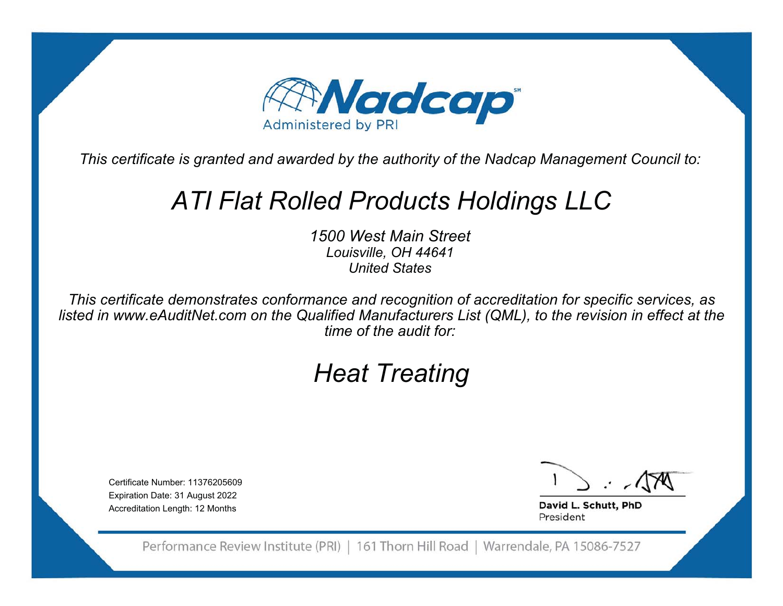

# *ATI Flat Rolled Products Holdings LLC*

*1500 West Main StreetLouisville, OH 44641 United States*

*This certificate demonstrates conformance and recognition of accreditation for specific services, as listed in www.eAuditNet.com on the Qualified Manufacturers List (QML), to the revision in effect at the time of the audit for:*

# *Heat Treating*

Certificate Number: 11376205609Expiration Date: 31 August 2022 Accreditation Length: 12 Months

David L. Schutt, PhD President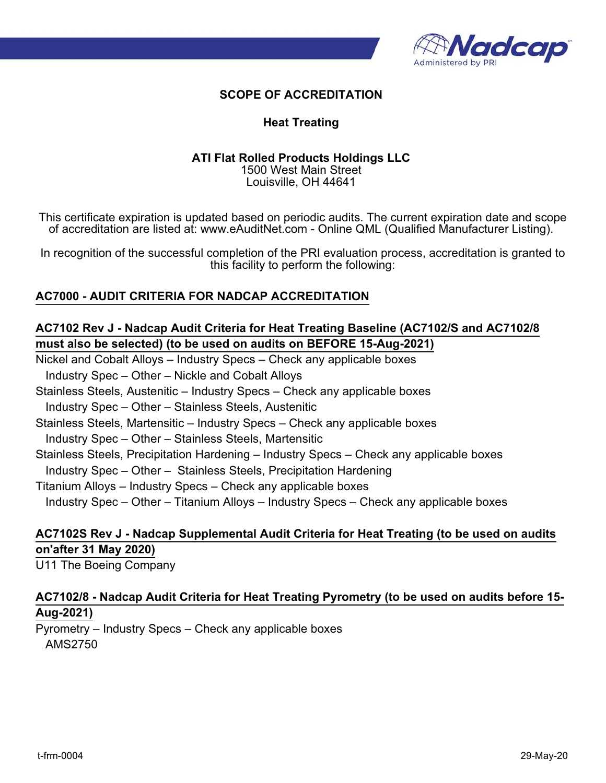

#### **Heat Treating**

#### **ATI Flat Rolled Products Holdings LLC** 1500 West Main Street Louisville, OH 44641

This certificate expiration is updated based on periodic audits. The current expiration date and scope of accreditation are listed at: www.eAuditNet.com - Online QML (Qualified Manufacturer Listing).

In recognition of the successful completion of the PRI evaluation process, accreditation is granted to this facility to perform the following:

# **AC7000 - AUDIT CRITERIA FOR NADCAP ACCREDITATION**

# **AC7102 Rev J - Nadcap Audit Criteria for Heat Treating Baseline (AC7102/S and AC7102/8 must also be selected) (to be used on audits on BEFORE 15-Aug-2021)**

Nickel and Cobalt Alloys – Industry Specs – Check any applicable boxes

Industry Spec – Other – Nickle and Cobalt Alloys

Stainless Steels, Austenitic – Industry Specs – Check any applicable boxes

Industry Spec – Other – Stainless Steels, Austenitic

Stainless Steels, Martensitic – Industry Specs – Check any applicable boxes

Industry Spec – Other – Stainless Steels, Martensitic

Stainless Steels, Precipitation Hardening – Industry Specs – Check any applicable boxes

Industry Spec – Other – Stainless Steels, Precipitation Hardening

Titanium Alloys – Industry Specs – Check any applicable boxes

Industry Spec – Other – Titanium Alloys – Industry Specs – Check any applicable boxes

# **AC7102S Rev J - Nadcap Supplemental Audit Criteria for Heat Treating (to be used on audits on'after 31 May 2020)**

U11 The Boeing Company

# **AC7102/8 - Nadcap Audit Criteria for Heat Treating Pyrometry (to be used on audits before 15- Aug-2021)**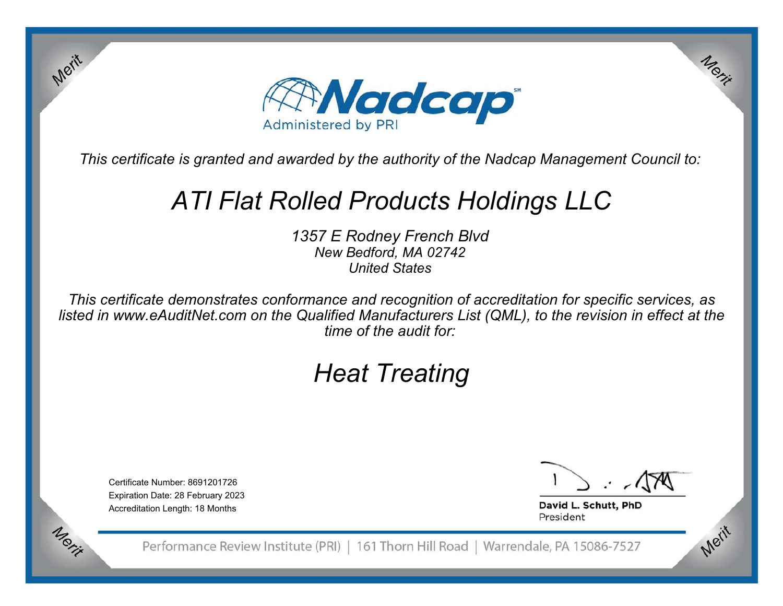

# *ATI Flat Rolled Products Holdings LLC*

*1357 E Rodney French Blvd New Bedford, MA 02742 United States*

*This certificate demonstrates conformance and recognition of accreditation for specific services, as listed in www.eAuditNet.com on the Qualified Manufacturers List (QML), to the revision in effect at the time of the audit for:*

# *Heat Treating*

Certificate Number: 8691201726Expiration Date: 28 February 2023 Accreditation Length: 18 Months

Merit

Merit

Merit

David L. Schutt, PhD President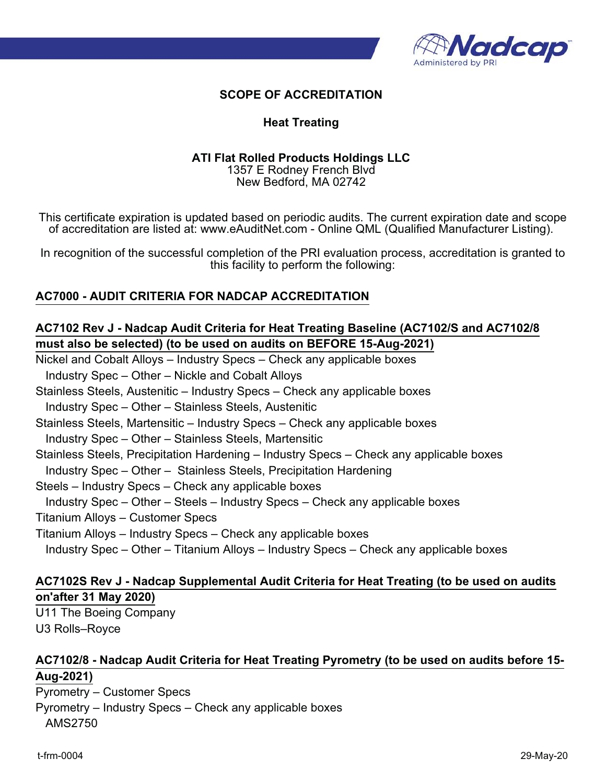

#### **Heat Treating**

#### **ATI Flat Rolled Products Holdings LLC**

1357 E Rodney French Blvd New Bedford, MA 02742

This certificate expiration is updated based on periodic audits. The current expiration date and scope of accreditation are listed at: www.eAuditNet.com - Online QML (Qualified Manufacturer Listing).

In recognition of the successful completion of the PRI evaluation process, accreditation is granted to this facility to perform the following:

# **AC7000 - AUDIT CRITERIA FOR NADCAP ACCREDITATION**

# **AC7102 Rev J - Nadcap Audit Criteria for Heat Treating Baseline (AC7102/S and AC7102/8 must also be selected) (to be used on audits on BEFORE 15-Aug-2021)**

Nickel and Cobalt Alloys – Industry Specs – Check any applicable boxes

Industry Spec – Other – Nickle and Cobalt Alloys

Stainless Steels, Austenitic – Industry Specs – Check any applicable boxes

Industry Spec – Other – Stainless Steels, Austenitic

Stainless Steels, Martensitic – Industry Specs – Check any applicable boxes

Industry Spec – Other – Stainless Steels, Martensitic

Stainless Steels, Precipitation Hardening – Industry Specs – Check any applicable boxes

Industry Spec – Other – Stainless Steels, Precipitation Hardening

Steels – Industry Specs – Check any applicable boxes

Industry Spec – Other – Steels – Industry Specs – Check any applicable boxes

Titanium Alloys – Customer Specs

Titanium Alloys – Industry Specs – Check any applicable boxes

Industry Spec – Other – Titanium Alloys – Industry Specs – Check any applicable boxes

# **AC7102S Rev J - Nadcap Supplemental Audit Criteria for Heat Treating (to be used on audits**

**on'after 31 May 2020)**

U11 The Boeing Company U3 Rolls–Royce

# **AC7102/8 - Nadcap Audit Criteria for Heat Treating Pyrometry (to be used on audits before 15- Aug-2021)**

Pyrometry – Customer Specs Pyrometry – Industry Specs – Check any applicable boxes AMS2750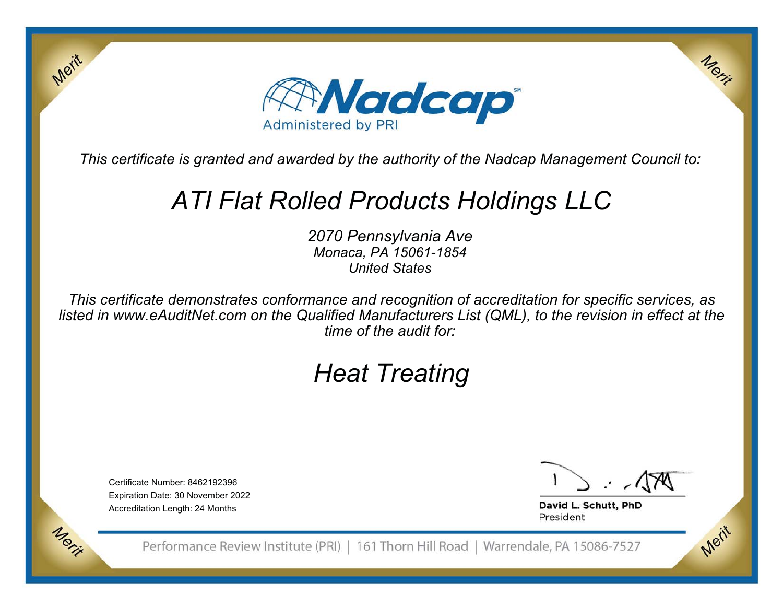

# *ATI Flat Rolled Products Holdings LLC*

*2070 Pennsylvania Ave Monaca, PA 15061-1854 United States*

*This certificate demonstrates conformance and recognition of accreditation for specific services, as listed in www.eAuditNet.com on the Qualified Manufacturers List (QML), to the revision in effect at the time of the audit for:*

# *Heat Treating*

Certificate Number: 8462192396Expiration Date: 30 November 2022 Accreditation Length: 24 Months

Merit

Merit

Merit

David L. Schutt, PhD President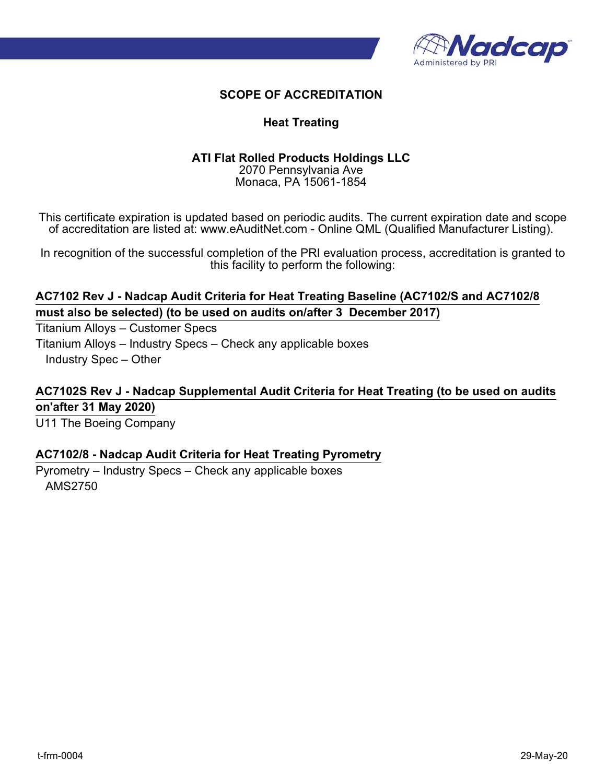

### **Heat Treating**

# **ATI Flat Rolled Products Holdings LLC**

2070 Pennsylvania Ave Monaca, PA 15061-1854

This certificate expiration is updated based on periodic audits. The current expiration date and scope of accreditation are listed at: www.eAuditNet.com - Online QML (Qualified Manufacturer Listing).

In recognition of the successful completion of the PRI evaluation process, accreditation is granted to this facility to perform the following:

# **AC7102 Rev J - Nadcap Audit Criteria for Heat Treating Baseline (AC7102/S and AC7102/8 must also be selected) (to be used on audits on/after 3 December 2017)**

Titanium Alloys – Customer Specs Titanium Alloys – Industry Specs – Check any applicable boxes Industry Spec – Other

**AC7102S Rev J - Nadcap Supplemental Audit Criteria for Heat Treating (to be used on audits on'after 31 May 2020)** U11 The Boeing Company

#### **AC7102/8 - Nadcap Audit Criteria for Heat Treating Pyrometry**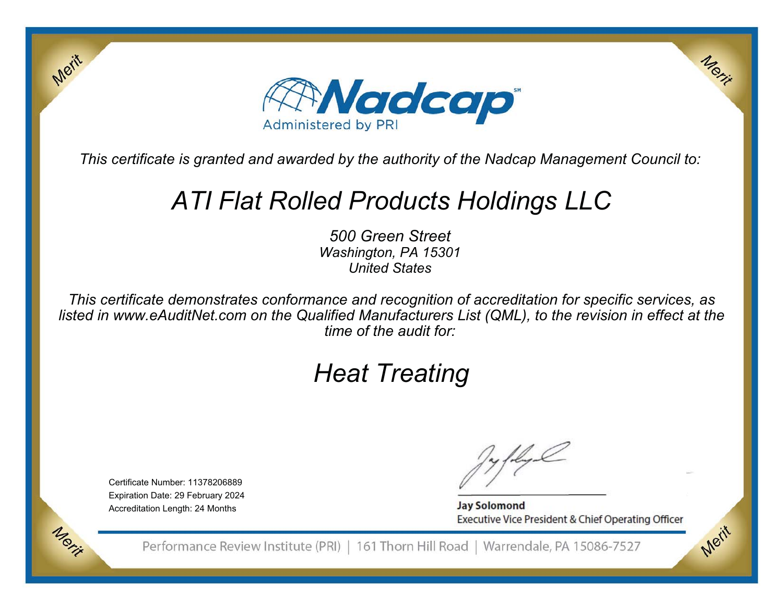

# *ATI Flat Rolled Products Holdings LLC*

*500 Green StreetWashington, PA 15301 United States*

*This certificate demonstrates conformance and recognition of accreditation for specific services, as listed in www.eAuditNet.com on the Qualified Manufacturers List (QML), to the revision in effect at the time of the audit for:*

# *Heat Treating*

Certificate Number: 11378206889Expiration Date: 29 February 2024 Accreditation Length: 24 Months

Merit

**Jay Solomond** Executive Vice President & Chief Operating Officer Merit

Merit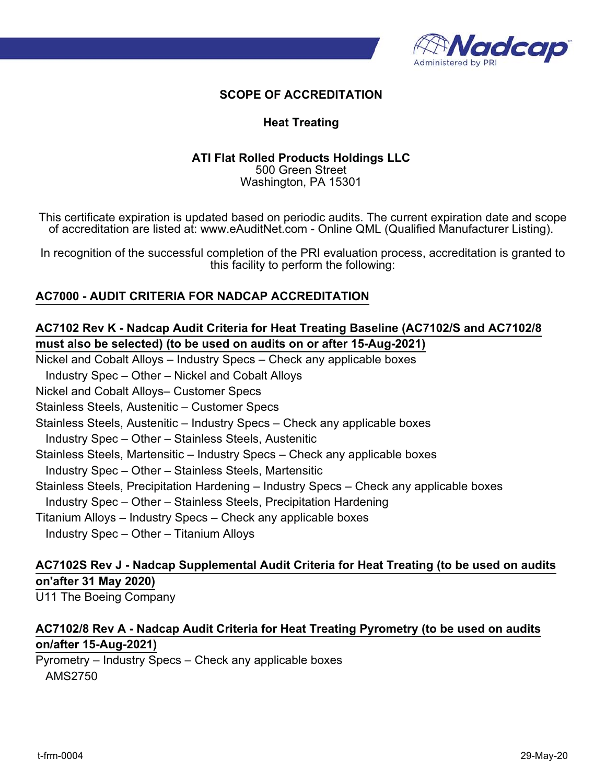

#### **Heat Treating**

#### **ATI Flat Rolled Products Holdings LLC** 500 Green Street Washington, PA 15301

This certificate expiration is updated based on periodic audits. The current expiration date and scope of accreditation are listed at: www.eAuditNet.com - Online QML (Qualified Manufacturer Listing).

In recognition of the successful completion of the PRI evaluation process, accreditation is granted to this facility to perform the following:

#### **AC7000 - AUDIT CRITERIA FOR NADCAP ACCREDITATION**

# **AC7102 Rev K - Nadcap Audit Criteria for Heat Treating Baseline (AC7102/S and AC7102/8 must also be selected) (to be used on audits on or after 15-Aug-2021)**

Nickel and Cobalt Alloys – Industry Specs – Check any applicable boxes

Industry Spec – Other – Nickel and Cobalt Alloys

Nickel and Cobalt Alloys– Customer Specs

Stainless Steels, Austenitic – Customer Specs

Stainless Steels, Austenitic – Industry Specs – Check any applicable boxes

Industry Spec – Other – Stainless Steels, Austenitic

Stainless Steels, Martensitic – Industry Specs – Check any applicable boxes

Industry Spec – Other – Stainless Steels, Martensitic

Stainless Steels, Precipitation Hardening – Industry Specs – Check any applicable boxes

Industry Spec – Other – Stainless Steels, Precipitation Hardening

Titanium Alloys – Industry Specs – Check any applicable boxes

Industry Spec – Other – Titanium Alloys

# **AC7102S Rev J - Nadcap Supplemental Audit Criteria for Heat Treating (to be used on audits on'after 31 May 2020)**

U11 The Boeing Company

# **AC7102/8 Rev A - Nadcap Audit Criteria for Heat Treating Pyrometry (to be used on audits on/after 15-Aug-2021)**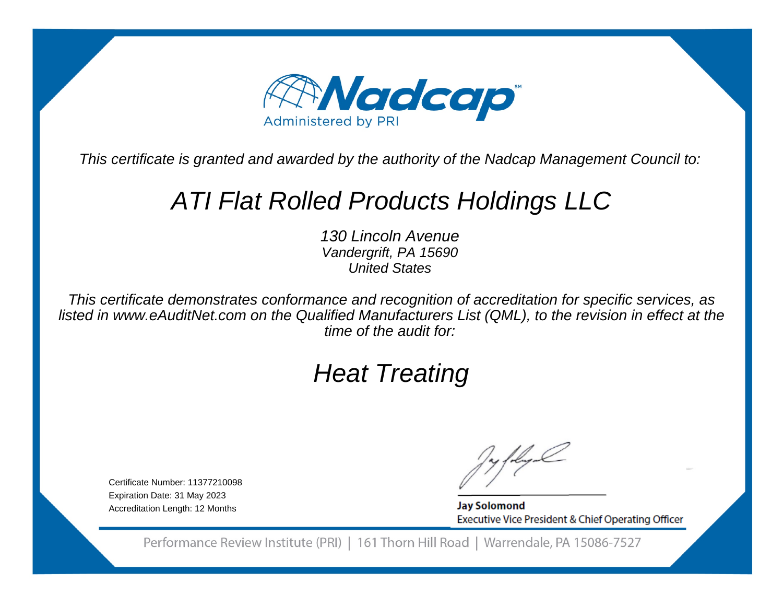

# ATI Flat Rolled Products Holdings LLC

130 Lincoln Avenue Vandergrift, PA 15690United States

This certificate demonstrates conformance and recognition of accreditation for specific services, as listed in www.eAuditNet.com on the Qualified Manufacturers List (QML), to the revision in effect at thetime of the audit for:

# Heat Treating

Certificate Number: 11377210098Expiration Date: 31 May 2023Accreditation Length: 12 Months

**Jay Solomond** Executive Vice President & Chief Operating Officer